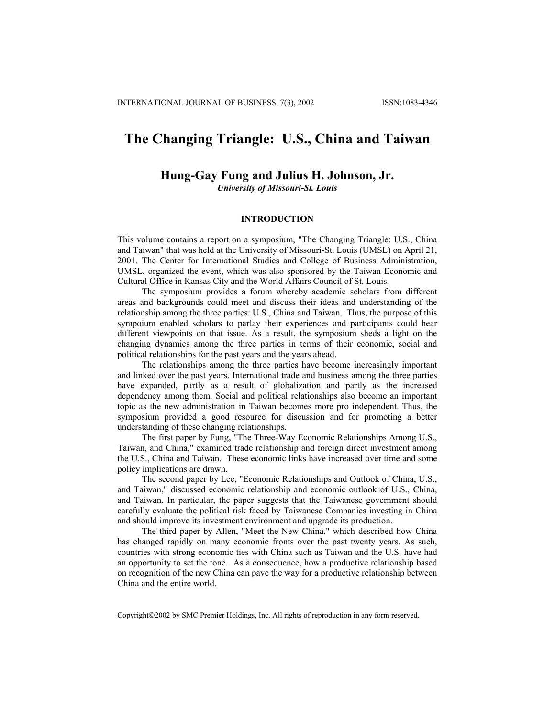## **The Changing Triangle: U.S., China and Taiwan**

## **Hung-Gay Fung and Julius H. Johnson, Jr.**

*University of Missouri-St. Louis*

## **INTRODUCTION**

This volume contains a report on a symposium, "The Changing Triangle: U.S., China and Taiwan" that was held at the University of Missouri-St. Louis (UMSL) on April 21, 2001. The Center for International Studies and College of Business Administration, UMSL, organized the event, which was also sponsored by the Taiwan Economic and Cultural Office in Kansas City and the World Affairs Council of St. Louis.

The symposium provides a forum whereby academic scholars from different areas and backgrounds could meet and discuss their ideas and understanding of the relationship among the three parties: U.S., China and Taiwan. Thus, the purpose of this sympoium enabled scholars to parlay their experiences and participants could hear different viewpoints on that issue. As a result, the symposium sheds a light on the changing dynamics among the three parties in terms of their economic, social and political relationships for the past years and the years ahead.

The relationships among the three parties have become increasingly important and linked over the past years. International trade and business among the three parties have expanded, partly as a result of globalization and partly as the increased dependency among them. Social and political relationships also become an important topic as the new administration in Taiwan becomes more pro independent. Thus, the symposium provided a good resource for discussion and for promoting a better understanding of these changing relationships.

The first paper by Fung, "The Three-Way Economic Relationships Among U.S., Taiwan, and China," examined trade relationship and foreign direct investment among the U.S., China and Taiwan. These economic links have increased over time and some policy implications are drawn.

The second paper by Lee, "Economic Relationships and Outlook of China, U.S., and Taiwan," discussed economic relationship and economic outlook of U.S., China, and Taiwan. In particular, the paper suggests that the Taiwanese government should carefully evaluate the political risk faced by Taiwanese Companies investing in China and should improve its investment environment and upgrade its production.

The third paper by Allen, "Meet the New China," which described how China has changed rapidly on many economic fronts over the past twenty years. As such, countries with strong economic ties with China such as Taiwan and the U.S. have had an opportunity to set the tone. As a consequence, how a productive relationship based on recognition of the new China can pave the way for a productive relationship between China and the entire world.

Copyright2002 by SMC Premier Holdings, Inc. All rights of reproduction in any form reserved.